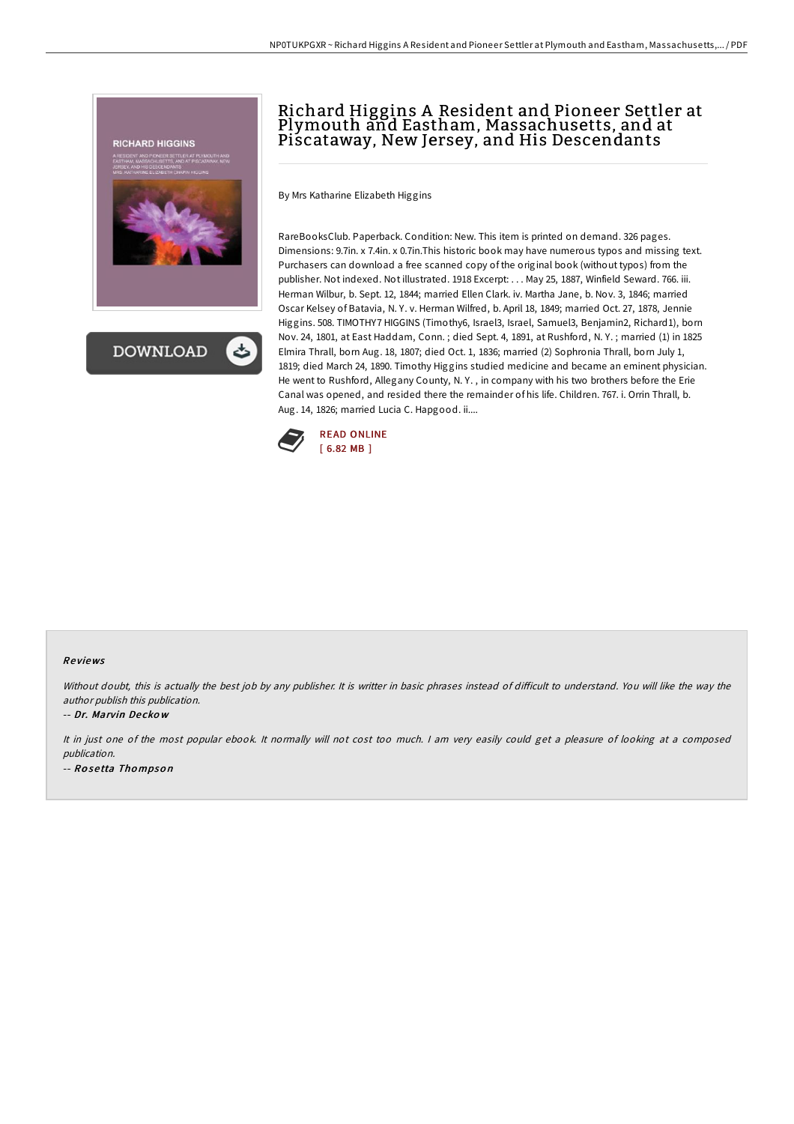



# Richard Higgins A Resident and Pioneer Settler at Plymouth and Eastham, Massachusetts, and at Piscataway, New Jersey, and His Descendants

By Mrs Katharine Elizabeth Higgins

RareBooksClub. Paperback. Condition: New. This item is printed on demand. 326 pages. Dimensions: 9.7in. x 7.4in. x 0.7in.This historic book may have numerous typos and missing text. Purchasers can download a free scanned copy of the original book (without typos) from the publisher. Not indexed. Not illustrated. 1918 Excerpt: . . . May 25, 1887, Winfield Seward. 766. iii. Herman Wilbur, b. Sept. 12, 1844; married Ellen Clark. iv. Martha Jane, b. Nov. 3, 1846; married Oscar Kelsey of Batavia, N. Y. v. Herman Wilfred, b. April 18, 1849; married Oct. 27, 1878, Jennie Higgins. 508. TIMOTHY7 HIGGINS (Timothy6, Israel3, Israel, Samuel3, Benjamin2, Richard1), born Nov. 24, 1801, at East Haddam, Conn. ; died Sept. 4, 1891, at Rushford, N. Y. ; married (1) in 1825 Elmira Thrall, born Aug. 18, 1807; died Oct. 1, 1836; married (2) Sophronia Thrall, born July 1, 1819; died March 24, 1890. Timothy Higgins studied medicine and became an eminent physician. He went to Rushford, Allegany County, N. Y. , in company with his two brothers before the Erie Canal was opened, and resided there the remainder of his life. Children. 767. i. Orrin Thrall, b. Aug. 14, 1826; married Lucia C. Hapgood. ii....



#### Re views

Without doubt, this is actually the best job by any publisher. It is writter in basic phrases instead of difficult to understand. You will like the way the author publish this publication.

#### -- Dr. Marvin De cko <sup>w</sup>

It in just one of the most popular ebook. It normally will not cost too much. <sup>I</sup> am very easily could get <sup>a</sup> pleasure of looking at <sup>a</sup> composed publication. -- Ro se tta Tho mpso <sup>n</sup>